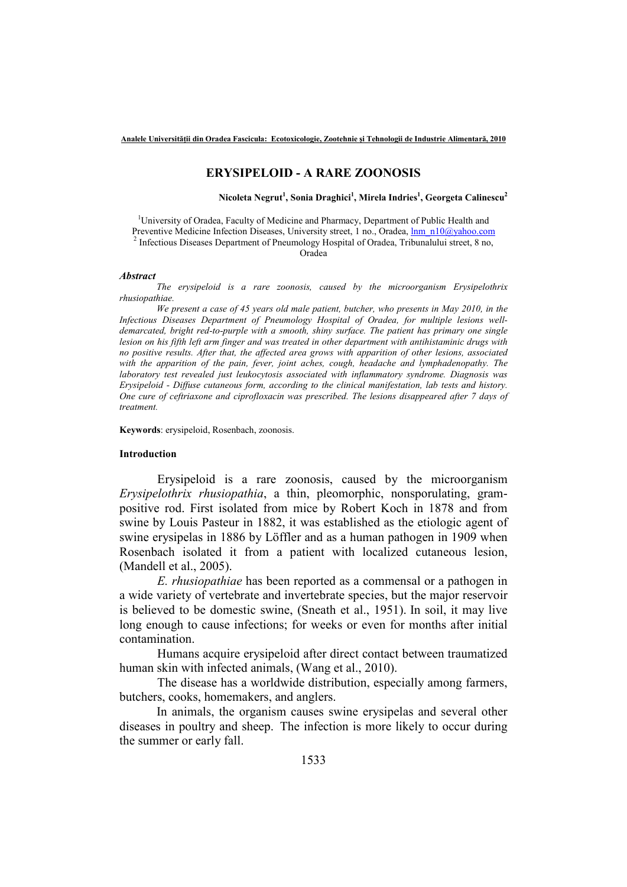### **ERYSIPELOID - A RARE ZOONOSIS**

**Nicoleta Negrut<sup>1</sup> , Sonia Draghici<sup>1</sup> , Mirela Indries<sup>1</sup> , Georgeta Calinescu<sup>2</sup>**

<sup>1</sup>University of Oradea, Faculty of Medicine and Pharmacy, Department of Public Health and Preventive Medicine Infection Diseases, University street, 1 no., Oradea, lnm\_n10@yahoo.com <sup>2</sup> Infectious Diseases Department of Pneumology Hospital of Oradea, Tribunalului street, 8 no,

Oradea

#### *Abstract*

*The erysipeloid is a rare zoonosis, caused by the microorganism Erysipelothrix rhusiopathiae.* 

*We present a case of 45 years old male patient, butcher, who presents in May 2010, in the Infectious Diseases Department of Pneumology Hospital of Oradea, for multiple lesions welldemarcated, bright red-to-purple with a smooth, shiny surface. The patient has primary one single lesion on his fifth left arm finger and was treated in other department with antihistaminic drugs with no positive results. After that, the affected area grows with apparition of other lesions, associated with the apparition of the pain, fever, joint aches, cough, headache and lymphadenopathy. The laboratory test revealed just leukocytosis associated with inflammatory syndrome. Diagnosis was Erysipeloid - Diffuse cutaneous form, according to the clinical manifestation, lab tests and history. One cure of ceftriaxone and ciprofloxacin was prescribed. The lesions disappeared after 7 days of treatment.* 

**Keywords**: erysipeloid, Rosenbach, zoonosis.

### **Introduction**

Erysipeloid is a rare zoonosis, caused by the microorganism *Erysipelothrix rhusiopathia*, a thin, pleomorphic, nonsporulating, grampositive rod. First isolated from mice by Robert Koch in 1878 and from swine by Louis Pasteur in 1882, it was established as the etiologic agent of swine erysipelas in 1886 by Löffler and as a human pathogen in 1909 when Rosenbach isolated it from a patient with localized cutaneous lesion, (Mandell et al., 2005).

 *E. rhusiopathiae* has been reported as a commensal or a pathogen in a wide variety of vertebrate and invertebrate species, but the major reservoir is believed to be domestic swine, (Sneath et al., 1951). In soil, it may live long enough to cause infections; for weeks or even for months after initial contamination.

Humans acquire erysipeloid after direct contact between traumatized human skin with infected animals, (Wang et al., 2010).

The disease has a worldwide distribution, especially among farmers, butchers, cooks, homemakers, and anglers.

In animals, the organism causes swine erysipelas and several other diseases in poultry and sheep. The infection is more likely to occur during the summer or early fall.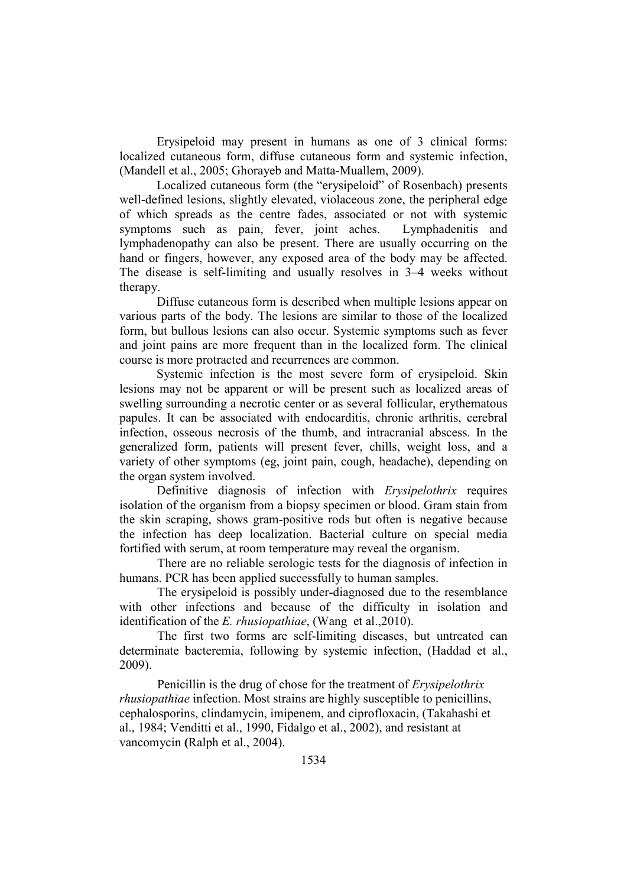Erysipeloid may present in humans as one of 3 clinical forms: localized cutaneous form, diffuse cutaneous form and systemic infection, (Mandell et al., 2005; Ghorayeb and Matta-Muallem, 2009).

Localized cutaneous form (the "erysipeloid" of Rosenbach) presents well-defined lesions, slightly elevated, violaceous zone, the peripheral edge of which spreads as the centre fades, associated or not with systemic symptoms such as pain, fever, joint aches. Lymphadenitis and lymphadenopathy can also be present. There are usually occurring on the hand or fingers, however, any exposed area of the body may be affected. The disease is self-limiting and usually resolves in 3–4 weeks without therapy.

Diffuse cutaneous form is described when multiple lesions appear on various parts of the body. The lesions are similar to those of the localized form, but bullous lesions can also occur. Systemic symptoms such as fever and joint pains are more frequent than in the localized form. The clinical course is more protracted and recurrences are common.

Systemic infection is the most severe form of erysipeloid. Skin lesions may not be apparent or will be present such as localized areas of swelling surrounding a necrotic center or as several follicular, erythematous papules. It can be associated with endocarditis, chronic arthritis, cerebral infection, osseous necrosis of the thumb, and intracranial abscess. In the generalized form, patients will present fever, chills, weight loss, and a variety of other symptoms (eg, joint pain, cough, headache), depending on the organ system involved.

Definitive diagnosis of infection with *Erysipelothrix* requires isolation of the organism from a biopsy specimen or blood. Gram stain from the skin scraping, shows gram-positive rods but often is negative because the infection has deep localization. Bacterial culture on special media fortified with serum, at room temperature may reveal the organism.

 There are no reliable serologic tests for the diagnosis of infection in humans. PCR has been applied successfully to human samples.

The erysipeloid is possibly under-diagnosed due to the resemblance with other infections and because of the difficulty in isolation and identification of the *E. rhusiopathiae*, (Wang et al.,2010).

The first two forms are self-limiting diseases, but untreated can determinate bacteremia, following by systemic infection, (Haddad et al., 2009).

Penicillin is the drug of chose for the treatment of *Erysipelothrix rhusiopathiae* infection. Most strains are highly susceptible to penicillins, cephalosporins, clindamycin, imipenem, and ciprofloxacin, (Takahashi et al., 1984; Venditti et al., 1990, Fidalgo et al., 2002), and resistant at vancomycin **(**Ralph et al., 2004).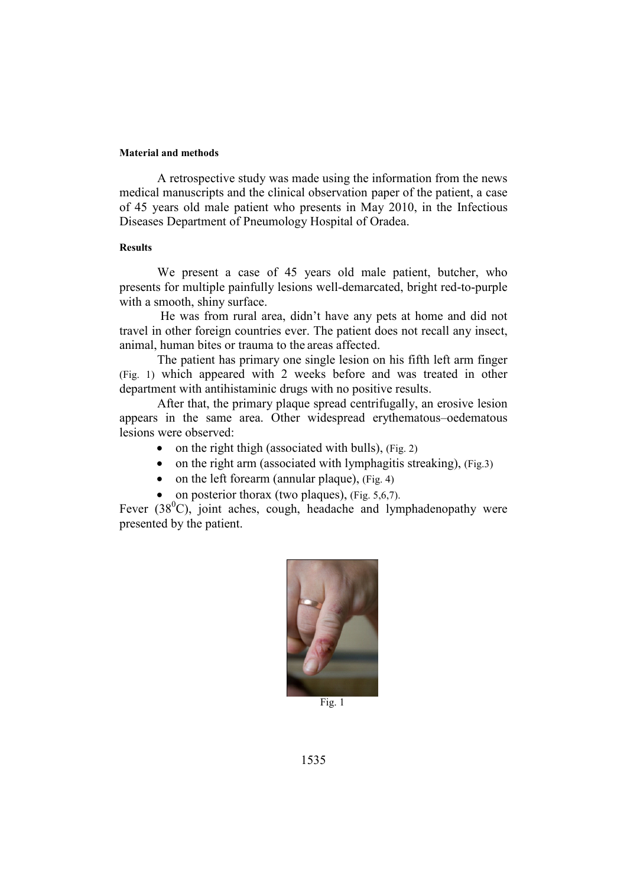### **Material and methods**

A retrospective study was made using the information from the news medical manuscripts and the clinical observation paper of the patient, a case of 45 years old male patient who presents in May 2010, in the Infectious Diseases Department of Pneumology Hospital of Oradea.

## **Results**

We present a case of 45 years old male patient, butcher, who presents for multiple painfully lesions well-demarcated, bright red-to-purple with a smooth, shiny surface.

 He was from rural area, didn't have any pets at home and did not travel in other foreign countries ever. The patient does not recall any insect, animal, human bites or trauma to the areas affected.

The patient has primary one single lesion on his fifth left arm finger (Fig. 1) which appeared with 2 weeks before and was treated in other department with antihistaminic drugs with no positive results.

After that, the primary plaque spread centrifugally, an erosive lesion appears in the same area. Other widespread erythematous–oedematous lesions were observed:

- on the right thigh (associated with bulls), (Fig. 2)
- on the right arm (associated with lymphagitis streaking),  $(Fig.3)$
- on the left forearm (annular plaque), (Fig. 4)
- on posterior thorax (two plaques),  $(Fig. 5, 6, 7)$ .

Fever  $(38^{\circ}$ C), joint aches, cough, headache and lymphadenopathy were presented by the patient.



Fig. 1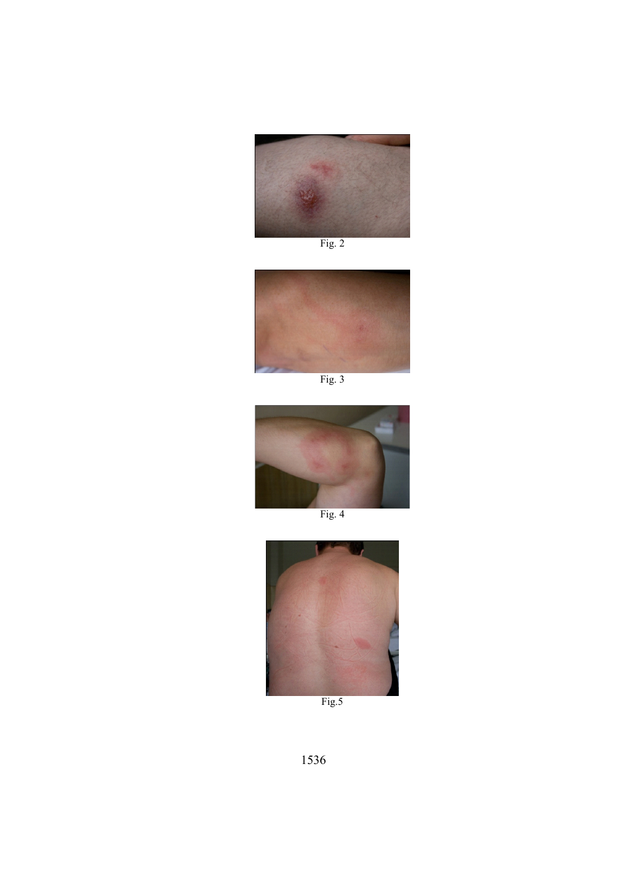

Fig. 2





Fig. 4



Fig.5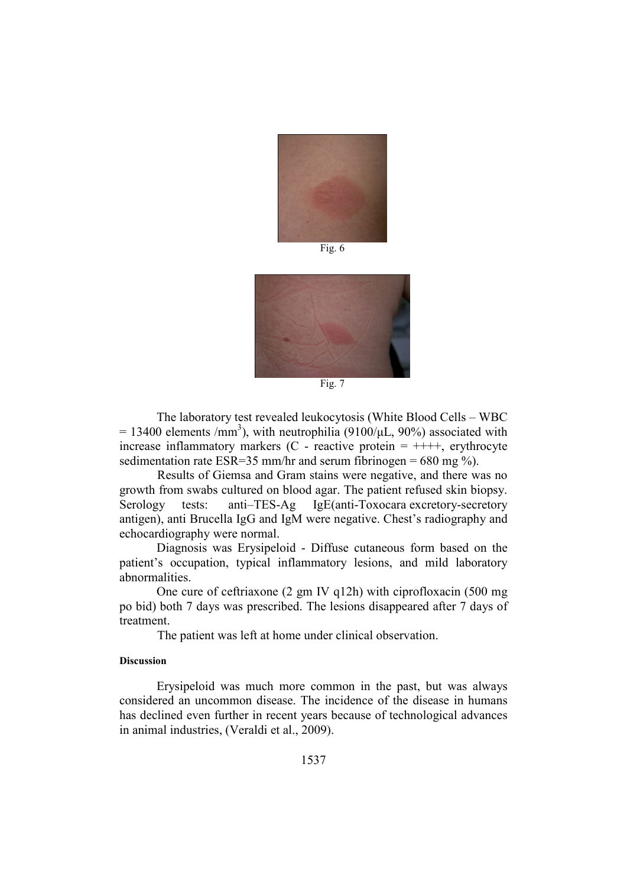

Fig.  $6$ 



Fig. 7

The laboratory test revealed leukocytosis (White Blood Cells – WBC = 13400 elements /mm<sup>3</sup>), with neutrophilia (9100/ $\mu$ L, 90%) associated with increase inflammatory markers (C - reactive protein  $= ++++$ , erythrocyte sedimentation rate ESR=35 mm/hr and serum fibrinogen = 680 mg %).

 Results of Giemsa and Gram stains were negative, and there was no growth from swabs cultured on blood agar. The patient refused skin biopsy. Serology tests: anti–TES-Ag IgE(anti-Toxocara excretory-secretory antigen), anti Brucella IgG and IgM were negative. Chest's radiography and echocardiography were normal.

Diagnosis was Erysipeloid - Diffuse cutaneous form based on the patient's occupation, typical inflammatory lesions, and mild laboratory abnormalities.

One cure of ceftriaxone (2 gm IV q12h) with ciprofloxacin (500 mg po bid) both 7 days was prescribed. The lesions disappeared after 7 days of treatment.

The patient was left at home under clinical observation.

# **Discussion**

Erysipeloid was much more common in the past, but was always considered an uncommon disease. The incidence of the disease in humans has declined even further in recent years because of technological advances in animal industries, (Veraldi et al., 2009).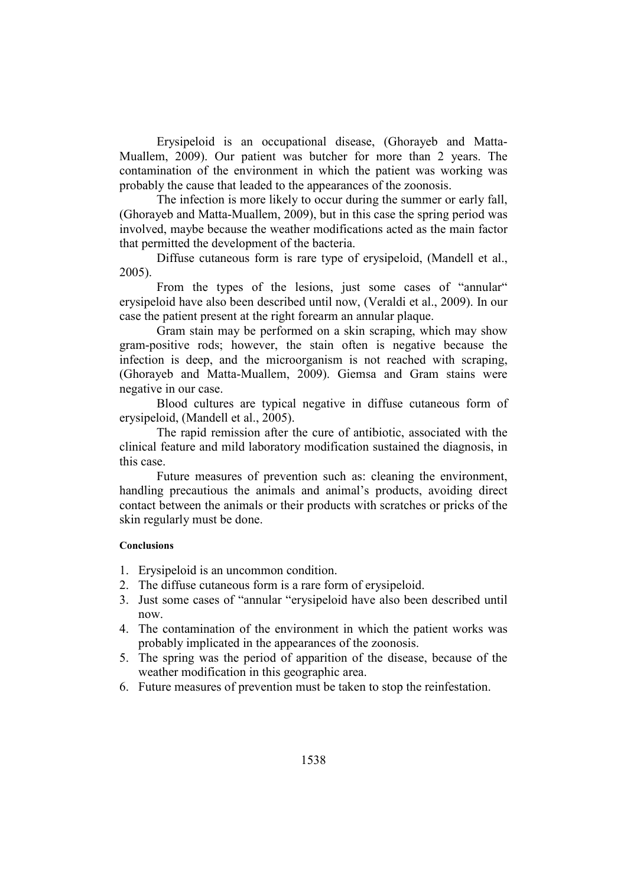Erysipeloid is an occupational disease, (Ghorayeb and Matta-Muallem, 2009). Our patient was butcher for more than 2 years. The contamination of the environment in which the patient was working was probably the cause that leaded to the appearances of the zoonosis.

The infection is more likely to occur during the summer or early fall, (Ghorayeb and Matta-Muallem, 2009), but in this case the spring period was involved, maybe because the weather modifications acted as the main factor that permitted the development of the bacteria.

Diffuse cutaneous form is rare type of erysipeloid, (Mandell et al., 2005).

From the types of the lesions, just some cases of "annular" erysipeloid have also been described until now, (Veraldi et al., 2009). In our case the patient present at the right forearm an annular plaque.

Gram stain may be performed on a skin scraping, which may show gram-positive rods; however, the stain often is negative because the infection is deep, and the microorganism is not reached with scraping, (Ghorayeb and Matta-Muallem, 2009). Giemsa and Gram stains were negative in our case.

Blood cultures are typical negative in diffuse cutaneous form of erysipeloid, (Mandell et al., 2005).

The rapid remission after the cure of antibiotic, associated with the clinical feature and mild laboratory modification sustained the diagnosis, in this case.

Future measures of prevention such as: cleaning the environment, handling precautious the animals and animal's products, avoiding direct contact between the animals or their products with scratches or pricks of the skin regularly must be done.

### **Conclusions**

- 1. Erysipeloid is an uncommon condition.
- 2. The diffuse cutaneous form is a rare form of erysipeloid.
- 3. Just some cases of "annular "erysipeloid have also been described until now.
- 4. The contamination of the environment in which the patient works was probably implicated in the appearances of the zoonosis.
- 5. The spring was the period of apparition of the disease, because of the weather modification in this geographic area.
- 6. Future measures of prevention must be taken to stop the reinfestation.